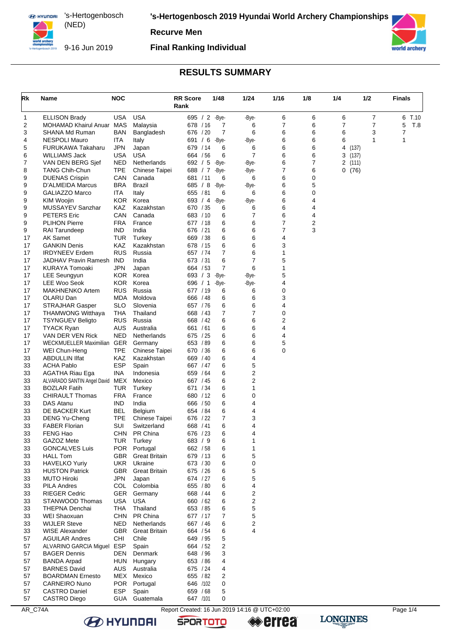**'s-Hertogenbosch 2019 Hyundai World Archery Championships**

**Recurve Men**



9-16 Jun 2019

#### **Final Ranking Individual**



# **RESULTS SUMMARY**

| Rk       | Name                                       | <b>NOC</b>               |                          | <b>RR Score</b><br>Rank | 1/48       | 1/24           | 1/16   | 1/8    | 1/4        | 1/2 | <b>Finals</b> |      |
|----------|--------------------------------------------|--------------------------|--------------------------|-------------------------|------------|----------------|--------|--------|------------|-----|---------------|------|
| 1        | <b>ELLISON Brady</b>                       | USA                      | <b>USA</b>               | 695 / 2 -Bye-           |            | -Bye-          | 6      | 6      | 6          | 7   | 6             | T.10 |
| 2        | MOHAMAD Khairul Anuar                      | <b>MAS</b>               | Malaysia                 | 678 / 16                | 7          | 6              | 7      | 6      | 7          | 7   | 5             | T.8  |
| 3        | SHANA Md Ruman                             | BAN                      | Bangladesh               | 676 / 20                | 7          | 6              | 6      | 6      | 6          | 3   | 7             |      |
| 4        | <b>NESPOLI Mauro</b>                       | ITA                      | Italy                    | 691 / 6                 | -Bye-      | -Bye-          | 6      | 6      | 6          | 1   | 1             |      |
| 5        | FURUKAWA Takaharu                          | <b>JPN</b>               | Japan                    | 679 / 14                | 6          | 6              | 6      | 6      | 4<br>(137) |     |               |      |
| 6        | WILLIAMS Jack                              | USA                      | USA                      | 664 / 56                | 6          | $\overline{7}$ | 6      | 6      | 3<br>(137) |     |               |      |
| 7        | VAN DEN BERG Sjef                          | <b>NED</b>               | Netherlands              | 692 / 5                 | -Bye-      | -Bye-          | 6      | 7      | 2<br>(111) |     |               |      |
| 8        | <b>TANG Chih-Chun</b>                      | <b>TPE</b>               | Chinese Taipei           | 688 / 7                 | -Bye-      | -Bye-          | 7      | 6      | 0(76)      |     |               |      |
| 9        | <b>DUENAS Crispin</b>                      | CAN                      | Canada                   | 681 / 11                | 6          | 6              | 6      | 0      |            |     |               |      |
| 9<br>9   | D'ALMEIDA Marcus<br><b>GALIAZZO Marco</b>  | <b>BRA</b><br>ITA        | <b>Brazil</b><br>Italy   | 685 / 8<br>655 / 81     | -Bye-<br>6 | -Bye-<br>6     | 6<br>6 | 5<br>0 |            |     |               |      |
| 9        | <b>KIM Woojin</b>                          | KOR.                     | Korea                    | 693 / 4                 | -Bye-      | -Bye-          | 6      | 4      |            |     |               |      |
| 9        | MUSSAYEV Sanzhar                           | KAZ                      | Kazakhstan               | 670 / 35                | 6          | 6              | 6      | 4      |            |     |               |      |
| 9        | <b>PETERS Eric</b>                         | CAN                      | Canada                   | 683 / 10                | 6          | $\overline{7}$ | 6      | 4      |            |     |               |      |
| 9        | <b>PLIHON Pierre</b>                       | <b>FRA</b>               | France                   | 677 / 18                | 6          | 6              | 7      | 2      |            |     |               |      |
| 9        | <b>RAI Tarundeep</b>                       | <b>IND</b>               | India                    | 676 / 21                | 6          | 6              | 7      | 3      |            |     |               |      |
| 17       | AK Samet                                   | <b>TUR</b>               | Turkey                   | 669 / 38                | 6          | 6              | 4      |        |            |     |               |      |
| 17       | <b>GANKIN Denis</b>                        | KAZ                      | Kazakhstan               | 678 / 15                | 6          | 6              | 3      |        |            |     |               |      |
| 17       | <b>IRDYNEEV Erdem</b>                      | <b>RUS</b>               | Russia                   | 657 / 74                | 7          | 6              | 1      |        |            |     |               |      |
| 17       | JADHAV Pravin Ramesh                       | <b>IND</b>               | India                    | 673 / 31                | 6          | 7              | 5      |        |            |     |               |      |
| 17       | <b>KURAYA Tomoaki</b>                      | JPN                      | Japan                    | 664 / 53                | 7          | 6              | 1      |        |            |     |               |      |
| 17       | LEE Seungyun                               | KOR.                     | Korea                    | 693 / 3                 | -Bye-      | -Bye-          | 5      |        |            |     |               |      |
| 17       | LEE Woo Seok                               | <b>KOR</b>               | Korea                    | 696 / 1                 | -Bye-      | -Bye-          | 4      |        |            |     |               |      |
| 17       | <b>MAKHNENKO Artem</b>                     | <b>RUS</b>               | Russia                   | 677 / 19                | 6          | 6<br>6         | 0      |        |            |     |               |      |
| 17<br>17 | OLARU Dan<br><b>STRAJHAR Gasper</b>        | <b>MDA</b><br><b>SLO</b> | Moldova<br>Slovenia      | 666 / 48<br>657 / 76    | 6<br>6     | 6              | 3<br>4 |        |            |     |               |      |
| 17       | <b>THAMWONG Witthaya</b>                   | THA                      | Thailand                 | 668 / 43                | 7          | $\overline{7}$ | 0      |        |            |     |               |      |
| 17       | <b>TSYNGUEV Beligto</b>                    | <b>RUS</b>               | Russia                   | 668 / 42                | 6          | 6              | 2      |        |            |     |               |      |
| 17       | <b>TYACK Ryan</b>                          | AUS                      | Australia                | 661 / 61                | 6          | 6              | 4      |        |            |     |               |      |
| 17       | VAN DER VEN Rick                           | <b>NED</b>               | Netherlands              | 675 / 25                | 6          | 6              | 4      |        |            |     |               |      |
| 17       | WECKMUELLER Maximilian GER                 |                          | Germany                  | 653 / 89                | 6          | 6              | 5      |        |            |     |               |      |
| 17       | WEI Chun-Heng                              | <b>TPE</b>               | Chinese Taipei           | 670 / 36                | 6          | 6              | 0      |        |            |     |               |      |
| 33       | <b>ABDULLIN IIfat</b>                      | KAZ                      | Kazakhstan               | 669 / 40                | 6          | 4              |        |        |            |     |               |      |
| 33       | <b>ACHA Pablo</b>                          | <b>ESP</b>               | Spain                    | 667 / 47                | 6          | 5              |        |        |            |     |               |      |
| 33       | <b>AGATHA Riau Ega</b>                     | INA                      | Indonesia                | 659 / 64                | 6          | $\mathbf 2$    |        |        |            |     |               |      |
| 33       | ALVARADO SANTIN Angel David                | <b>MEX</b>               | Mexico                   | 667 / 45                | 6          | 2              |        |        |            |     |               |      |
| 33       | <b>BOZLAR Fatih</b>                        | TUR                      | Turkey                   | 671 / 34                | 6          | 1              |        |        |            |     |               |      |
| 33       | <b>CHIRAULT Thomas</b><br><b>DAS Atanu</b> | <b>FRA</b><br><b>IND</b> | France<br>India          | 680 / 12<br>666 / 50    | 6          | 0<br>4         |        |        |            |     |               |      |
| 33<br>33 | DE BACKER Kurt                             | <b>BEL</b>               | Belgium                  | 654 / 84                | 6<br>6     | 4              |        |        |            |     |               |      |
| 33       | DENG Yu-Cheng                              | <b>TPE</b>               | Chinese Taipei           | 676 / 22                | 7          | 3              |        |        |            |     |               |      |
| 33       | <b>FABER Florian</b>                       | SUI                      | Switzerland              | 668 / 41                | 6          | 4              |        |        |            |     |               |      |
| 33       | FENG Hao                                   | CHN.                     | <b>PR China</b>          | 676 / 23                | 6          | 4              |        |        |            |     |               |      |
| 33       | GAZOZ Mete                                 | <b>TUR</b>               | Turkey                   | 683 / 9                 | 6          | 1              |        |        |            |     |               |      |
| 33       | <b>GONCALVES Luis</b>                      |                          | POR Portugal             | 662 / 58                | 6          | 1              |        |        |            |     |               |      |
| 33       | <b>HALL Tom</b>                            | GBR                      | <b>Great Britain</b>     | 679 / 13                | 6          | 5              |        |        |            |     |               |      |
| 33       | <b>HAVELKO Yuriy</b>                       |                          | UKR Ukraine              | 673 / 30                | 6          | 0              |        |        |            |     |               |      |
| 33       | <b>HUSTON Patrick</b>                      |                          | <b>GBR</b> Great Britain | 675 / 26                | 6          | 5              |        |        |            |     |               |      |
| 33       | <b>MUTO Hiroki</b>                         | JPN                      | Japan                    | 674 / 27                | 6          | 5              |        |        |            |     |               |      |
| 33       | <b>PILA Andres</b>                         | COL                      | Colombia                 | 655 / 80                | 6          | 4              |        |        |            |     |               |      |
| 33       | <b>RIEGER Cedric</b>                       |                          | GER Germany              | 668 / 44                | 6          | 2              |        |        |            |     |               |      |
| 33       | STANWOOD Thomas<br><b>THEPNA Denchai</b>   | <b>USA</b>               | <b>USA</b><br>Thailand   | 660 / 62                | 6          | $\mathbf 2$    |        |        |            |     |               |      |
| 33<br>33 | WEI Shaoxuan                               | THA                      | CHN PR China             | 653 / 85<br>677 / 17    | 6<br>7     | 5<br>5         |        |        |            |     |               |      |
| 33       | <b>WIJLER Steve</b>                        | NED                      | Netherlands              | 667 / 46                | 6          | 2              |        |        |            |     |               |      |
| 33       | <b>WISE Alexander</b>                      |                          | <b>GBR</b> Great Britain | 664 / 54                | 6          | 4              |        |        |            |     |               |      |
| 57       | <b>AGUILAR Andres</b>                      | CHI                      | Chile                    | 649 / 95                | 5          |                |        |        |            |     |               |      |
| 57       | ALVARINO GARCIA Miguel                     | <b>ESP</b>               | Spain                    | 664 / 52                | 2          |                |        |        |            |     |               |      |
| 57       | <b>BAGER Dennis</b>                        | DEN                      | Denmark                  | 648 / 96                | 3          |                |        |        |            |     |               |      |
| 57       | <b>BANDA Arpad</b>                         | HUN                      | Hungary                  | 653 / 86                | 4          |                |        |        |            |     |               |      |
| 57       | <b>BARNES David</b>                        | AUS                      | Australia                | 675 / 24                | 4          |                |        |        |            |     |               |      |
| 57       | <b>BOARDMAN Ernesto</b>                    |                          | MEX Mexico               | 655 / 82                | 2          |                |        |        |            |     |               |      |
| 57       | <b>CARNEIRO Nuno</b>                       | <b>POR</b>               | Portugal                 | 646 /102                | 0          |                |        |        |            |     |               |      |
| 57       | <b>CASTRO Daniel</b>                       | <b>ESP</b>               | Spain                    | 659 / 68                | 5          |                |        |        |            |     |               |      |
| 57       | CASTRO Diego                               | <b>GUA</b>               | Guatemala                | 647 /101                | 0          |                |        |        |            |     |               |      |

AR\_C74A Report Created: 16 Jun 2019 14:16 @ UTC+02:00 **B** HYUNDAI

**SPORTOTO**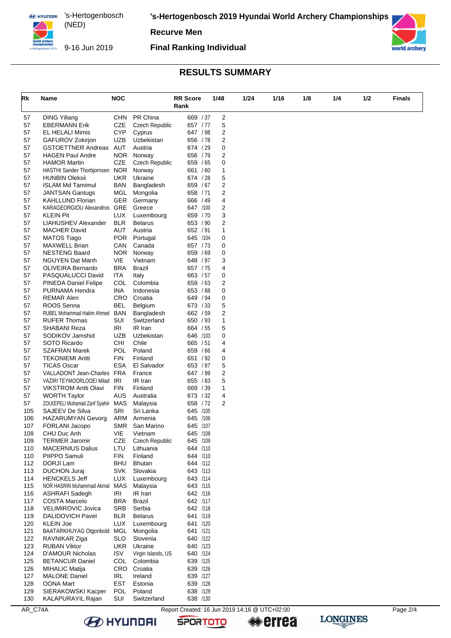**'s-Hertogenbosch 2019 Hyundai World Archery Championships**

**Recurve Men**

9-16 Jun 2019

**Final Ranking Individual**



# **RESULTS SUMMARY**

| Rk         | Name                                                   | <b>NOC</b>               |                                  | <b>RR</b> Score      | 1/48 | 1/24           | 1/16 | 1/8 | 1/4 | 1/2 | <b>Finals</b> |
|------------|--------------------------------------------------------|--------------------------|----------------------------------|----------------------|------|----------------|------|-----|-----|-----|---------------|
|            |                                                        |                          |                                  | Rank                 |      |                |      |     |     |     |               |
| 57         | <b>DING Yiliang</b>                                    | <b>CHN</b>               | PR China                         | 669 / 37             |      | $\overline{c}$ |      |     |     |     |               |
| 57         | <b>EBERMANN Erik</b>                                   | CZE                      | <b>Czech Republic</b>            | 657 / 77             |      | 5              |      |     |     |     |               |
| 57         | <b>EL HELALI Mimis</b>                                 | <b>CYP</b>               | Cyprus                           | 647 / 98             |      | 2              |      |     |     |     |               |
| 57<br>57   | GAFUROV Zokirjon<br><b>GSTOETTNER Andreas</b>          | <b>UZB</b><br>AUT        | Uzbekistan<br>Austria            | 656 / 78<br>674 / 29 |      | 2<br>0         |      |     |     |     |               |
| 57         | <b>HAGEN Paul Andre</b>                                | <b>NOR</b>               | Norway                           | 656 / 79             |      | 2              |      |     |     |     |               |
| 57         | <b>HAMOR Martin</b>                                    | CZE                      | <b>Czech Republic</b>            | 659 / 65             |      | 0              |      |     |     |     |               |
| 57         | HASTHI Sander Thorbjornsen NOR                         |                          | Norway                           | 661 / 60             |      | 1              |      |     |     |     |               |
| 57         | <b>HUNBIN Oleksii</b>                                  | UKR.                     | Ukraine                          | 674 / 28             |      | 5              |      |     |     |     |               |
| 57         | <b>ISLAM Md Tamimul</b>                                | <b>BAN</b>               | Bangladesh                       | 659 / 67             |      | 2              |      |     |     |     |               |
| 57         | <b>JANTSAN Gantugs</b>                                 | MGL                      | Mongolia                         | 658 / 71             |      | 2              |      |     |     |     |               |
| 57<br>57   | <b>KAHLLUND Florian</b><br>KARAGEORGIOU Alexandros GRE | <b>GER</b>               | Germany<br>Greece                | 666 / 49<br>647 /100 |      | 4<br>2         |      |     |     |     |               |
| 57         | <b>KLEIN Pit</b>                                       | LUX                      | Luxembourg                       | 659 / 70             |      | 3              |      |     |     |     |               |
| 57         | LIAHUSHEV Alexander                                    | <b>BLR</b>               | <b>Belarus</b>                   | 653 / 90             |      | 2              |      |     |     |     |               |
| 57         | <b>MACHER David</b>                                    | AUT                      | Austria                          | 652 / 91             |      | 1              |      |     |     |     |               |
| 57         | <b>MATOS Tiago</b>                                     | <b>POR</b>               | Portugal                         | 645 /104             |      | 0              |      |     |     |     |               |
| 57         | <b>MAXWELL Brian</b>                                   | CAN                      | Canada                           | 657 / 73             |      | 0              |      |     |     |     |               |
| 57         | <b>NESTENG Baard</b>                                   | <b>NOR</b>               | Norway                           | 659 / 69             |      | 0              |      |     |     |     |               |
| 57         | <b>NGUYEN Dat Manh</b>                                 | VIE                      | Vietnam                          | 648 / 97             |      | 3              |      |     |     |     |               |
| 57         | <b>OLIVEIRA Bernardo</b>                               | <b>BRA</b>               | Brazil                           | 657 / 75             |      | 4              |      |     |     |     |               |
| 57         | PASQUALUCCI David                                      | ITA<br><b>COL</b>        | Italy<br>Colombia                | 663 / 57<br>659 / 63 |      | 0              |      |     |     |     |               |
| 57<br>57   | PINEDA Daniel Felipe<br>PURNAMA Hendra                 | <b>INA</b>               | Indonesia                        | 653 / 88             |      | 2<br>0         |      |     |     |     |               |
| 57         | <b>REMAR Alen</b>                                      | CRO                      | Croatia                          | 649 / 94             |      | 0              |      |     |     |     |               |
| 57         | ROOS Senna                                             | BEL                      | Belgium                          | 673 / 33             |      | 5              |      |     |     |     |               |
| 57         | RUBEL Mohammad Hakim Ahmed                             | <b>BAN</b>               | Bangladesh                       | 662 / 59             |      | 2              |      |     |     |     |               |
| 57         | <b>RUFER Thomas</b>                                    | SUI                      | Switzerland                      | 650 / 93             |      | 1              |      |     |     |     |               |
| 57         | SHABANI Reza                                           | IRI                      | IR Iran                          | 664 / 55             |      | 5              |      |     |     |     |               |
| 57         | SODIKOV Jamshid                                        | <b>UZB</b>               | Uzbekistan                       | 646 /103             |      | 0              |      |     |     |     |               |
| 57         | SOTO Ricardo                                           | CHI                      | Chile                            | 665 / 51             |      | 4              |      |     |     |     |               |
| 57         | <b>SZAFRAN Marek</b><br><b>TEKONIEMI Antti</b>         | <b>POL</b><br><b>FIN</b> | Poland<br>Finland                | 659 / 66<br>651 / 92 |      | 4              |      |     |     |     |               |
| 57<br>57   | <b>TICAS Oscar</b>                                     | <b>ESA</b>               | El Salvador                      | 653 / 87             |      | 0<br>5         |      |     |     |     |               |
| 57         | VALLADONT Jean-Charles FRA                             |                          | France                           | 647 / 99             |      | 2              |      |     |     |     |               |
| 57         | VAZIRI TEYMOORLOOEI Milad IRI                          |                          | IR Iran                          | 655 / 83             |      | 5              |      |     |     |     |               |
| 57         | <b>VIKSTROM Antti Olavi</b>                            | <b>FIN</b>               | Finland                          | 669 / 39             |      | 1              |      |     |     |     |               |
| 57         | <b>WORTH Taylor</b>                                    | AUS                      | Australia                        | 673 / 32             |      | 4              |      |     |     |     |               |
| 57         | ZOLKEPELI Muhamad Zarif Syahiir MAS                    |                          | Malaysia                         | 658 / 72             |      | 2              |      |     |     |     |               |
| 105        | SAJEEV De Silva                                        | SRI                      | Sri Lanka                        | 645 /105             |      |                |      |     |     |     |               |
| 106        | <b>HAZARUMYAN Gevorg</b>                               | ARM                      | Armenia                          | 645 /106             |      |                |      |     |     |     |               |
| 107        | FORLANI Jacopo                                         | SMR<br>VIE               | San Marino                       | 645 /107             |      |                |      |     |     |     |               |
| 108<br>109 | CHU Duc Anh<br><b>TERMER Jaromir</b>                   | <b>CZE</b>               | Vietnam<br><b>Czech Republic</b> | 645 /108<br>645 /109 |      |                |      |     |     |     |               |
| 110        | <b>MACERNIUS Dalius</b>                                | LTU                      | Lithuania                        | 644 /110             |      |                |      |     |     |     |               |
| 110        | PIIPPO Samuli                                          | <b>FIN</b>               | Finland                          | 644 /110             |      |                |      |     |     |     |               |
| 112        | DORJI Lam                                              | BHU                      | <b>Bhutan</b>                    | 644 /112             |      |                |      |     |     |     |               |
| 113        | <b>DUCHON Juraj</b>                                    | <b>SVK</b>               | Slovakia                         | 643 /113             |      |                |      |     |     |     |               |
| 114        | <b>HENCKELS Jeff</b>                                   | LUX                      | Luxembourg                       | 643 /114             |      |                |      |     |     |     |               |
| 115        | NOR HASRIN Muhammad Akmal                              | MAS                      | Malaysia                         | 643 /115             |      |                |      |     |     |     |               |
| 116        | <b>ASHRAFI Sadegh</b>                                  | <b>IRI</b>               | IR Iran                          | 642 /116             |      |                |      |     |     |     |               |
| 117<br>118 | <b>COSTA Marcelo</b><br>VELIMIROVIC Jovica             | <b>BRA</b><br>SRB        | Brazil<br>Serbia                 | 642 /117<br>642 /118 |      |                |      |     |     |     |               |
| 119        | DALIDOVICH Pavel                                       | <b>BLR</b>               | <b>Belarus</b>                   | 641 /119             |      |                |      |     |     |     |               |
| 120        | <b>KLEIN Joe</b>                                       | <b>LUX</b>               | Luxembourg                       | 641 /120             |      |                |      |     |     |     |               |
| 121        | BAATARKHUYAG Otgonbold MGL                             |                          | Mongolia                         | 641 /121             |      |                |      |     |     |     |               |
| 122        | RAVNIKAR Ziga                                          | <b>SLO</b>               | Slovenia                         | 640 /122             |      |                |      |     |     |     |               |
| 123        | <b>RUBAN Viktor</b>                                    | <b>UKR</b>               | Ukraine                          | 640 /123             |      |                |      |     |     |     |               |
| 124        | D'AMOUR Nicholas                                       | <b>ISV</b>               | Virgin Islands, US               | 640 /124             |      |                |      |     |     |     |               |
| 125        | <b>BETANCUR Daniel</b>                                 | <b>COL</b>               | Colombia                         | 639 /125             |      |                |      |     |     |     |               |
| 126        | MIHALIC Matija                                         | <b>CRO</b>               | Croatia                          | 639 /126             |      |                |      |     |     |     |               |
| 127        | <b>MALONE Daniel</b>                                   | <b>IRL</b><br><b>EST</b> | Ireland                          | 639 /127             |      |                |      |     |     |     |               |
| 128<br>129 | OONA Mart<br>SIERAKOWSKI Kacper                        | POL                      | Estonia<br>Poland                | 639 /128<br>638 /129 |      |                |      |     |     |     |               |
| 130        | <b>KALAPURAYIL Rajan</b>                               | SUI                      | Switzerland                      | 638 /130             |      |                |      |     |     |     |               |

**B** HYUNDAI

**SPORTOTO** 

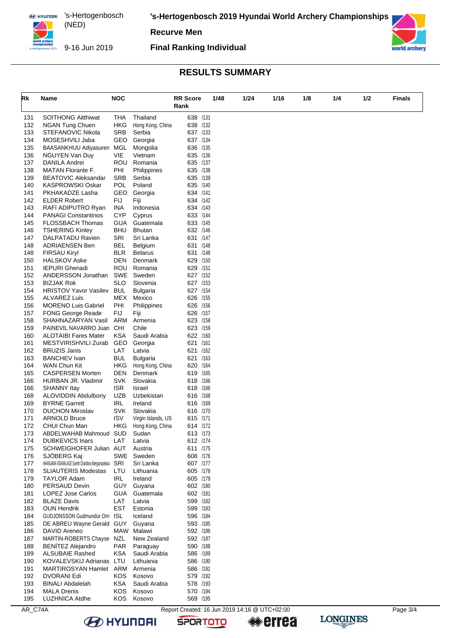**'s-Hertogenbosch 2019 Hyundai World Archery Championships**

**Recurve Men**

9-16 Jun 2019

**Final Ranking Individual**



# **RESULTS SUMMARY**

| Rk         | Name                                                | <b>NOC</b>        | Rank                                | <b>RR</b> Score      |      | 1/48 | 1/24 | 1/16 | 1/8 | 1/4 | 1/2 | <b>Finals</b> |
|------------|-----------------------------------------------------|-------------------|-------------------------------------|----------------------|------|------|------|------|-----|-----|-----|---------------|
|            |                                                     |                   | Thailand                            | 638 /131             |      |      |      |      |     |     |     |               |
| 131<br>132 | <b>SOITHONG Aitthiwat</b><br><b>NGAN Tung Chuen</b> | THA<br>HKG        | Hong Kong, China                    | 638 /132             |      |      |      |      |     |     |     |               |
| 133        | <b>STEFANOVIC Nikola</b>                            | <b>SRB</b>        | Serbia                              | 637 /133             |      |      |      |      |     |     |     |               |
| 134        | MOSESHVILI Jaba                                     | GEO               | Georgia                             | 637 /134             |      |      |      |      |     |     |     |               |
| 135        | BAASANKHUU Adiyasuren                               | MGL               | Mongolia                            | 636 /135             |      |      |      |      |     |     |     |               |
| 136        | NGUYEN Van Duy                                      | VIE               | Vietnam                             | 635 /136             |      |      |      |      |     |     |     |               |
| 137        | DANILA Andrei                                       | <b>ROU</b>        | Romania                             | 635 /137             |      |      |      |      |     |     |     |               |
| 138        | <b>MATAN Florante F.</b>                            | PHI               | Philippines                         | 635 /138             |      |      |      |      |     |     |     |               |
| 139        | <b>BEATOVIC Aleksandar</b>                          | <b>SRB</b>        | Serbia                              | 635 /139             |      |      |      |      |     |     |     |               |
| 140        | <b>KASPROWSKI Oskar</b>                             | POL               | Poland                              | 635 /140             |      |      |      |      |     |     |     |               |
| 141<br>142 | PKHAKADZE Lasha<br><b>ELDER Robert</b>              | GEO<br><b>FIJ</b> | Georgia<br>Fiji                     | 634 /141<br>634 /142 |      |      |      |      |     |     |     |               |
| 143        | RAFI ADIPUTRO Ryan                                  | INA               | Indonesia                           | 634 /143             |      |      |      |      |     |     |     |               |
| 144        | <b>PANAGI Constantinos</b>                          | <b>CYP</b>        | Cyprus                              | 633 /144             |      |      |      |      |     |     |     |               |
| 145        | FLOSSBACH Thomas                                    | GUA               | Guatemala                           | 633 /145             |      |      |      |      |     |     |     |               |
| 146        | <b>TSHERING Kinley</b>                              | BHU               | <b>Bhutan</b>                       | 632 /146             |      |      |      |      |     |     |     |               |
| 147        | DALPATADU Ravien                                    | SRI               | Sri Lanka                           | 631 /147             |      |      |      |      |     |     |     |               |
| 148        | <b>ADRIAENSEN Ben</b>                               | <b>BEL</b>        | Belgium                             | 631 /148             |      |      |      |      |     |     |     |               |
| 148        | <b>FIRSAU Kiryl</b>                                 | BLR               | <b>Belarus</b>                      | 631 /148             |      |      |      |      |     |     |     |               |
| 150        | <b>HALSKOV Aske</b>                                 | DEN               | Denmark                             | 629 /150             |      |      |      |      |     |     |     |               |
| 151        | <b>IEPURI</b> Ghenadi                               | <b>ROU</b>        | Romania                             | 629 /151             |      |      |      |      |     |     |     |               |
| 152<br>153 | ANDERSSON Jonathan<br><b>BIZJAK Rok</b>             | SWE<br><b>SLO</b> | Sweden<br>Slovenia                  | 627 /152<br>627 /153 |      |      |      |      |     |     |     |               |
| 154        | <b>HRISTOV Yavor Vasilev</b>                        | <b>BUL</b>        | <b>Bulgaria</b>                     | 627 /154             |      |      |      |      |     |     |     |               |
| 155        | <b>ALVAREZ Luis</b>                                 | MEX               | Mexico                              | 626 /155             |      |      |      |      |     |     |     |               |
| 156        | <b>MORENO Luis Gabriel</b>                          | PHI               | Philippines                         | 626 /156             |      |      |      |      |     |     |     |               |
| 157        | <b>FONG George Reade</b>                            | FIJ               | Fiji                                | 626 /157             |      |      |      |      |     |     |     |               |
| 158        | SHAHNAZARYAN Vasil                                  | ARM               | Armenia                             | 623 /158             |      |      |      |      |     |     |     |               |
| 159        | PAINEVIL NAVARRO Juan CHI                           |                   | Chile                               | 623 /159             |      |      |      |      |     |     |     |               |
| 160        | <b>ALOTAIBI Fares Mater</b>                         | <b>KSA</b>        | Saudi Arabia                        | 622 /160             |      |      |      |      |     |     |     |               |
| 161        | MESTVIRISHVILI Zurab                                | GEO               | Georgia                             | 621                  | /161 |      |      |      |     |     |     |               |
| 162<br>163 | <b>BRUZIS Janis</b><br><b>BANCHEV</b> Ivan          | LAT<br><b>BUL</b> | Latvia                              | 621 /162             | /163 |      |      |      |     |     |     |               |
| 164        | WAN Chun Kit                                        | <b>HKG</b>        | <b>Bulgaria</b><br>Hong Kong, China | 621<br>620 /164      |      |      |      |      |     |     |     |               |
| 165        | <b>CASPERSEN Morten</b>                             | DEN               | Denmark                             | 619 /165             |      |      |      |      |     |     |     |               |
| 166        | HURBAN JR. Vladimir                                 | <b>SVK</b>        | Slovakia                            | 618 /166             |      |      |      |      |     |     |     |               |
| 166        | <b>SHANNY Itay</b>                                  | <b>ISR</b>        | Israel                              | 618 /166             |      |      |      |      |     |     |     |               |
| 168        | <b>ALOVIDDIN Abdulboriy</b>                         | <b>UZB</b>        | Uzbekistan                          | 616 /168             |      |      |      |      |     |     |     |               |
| 169        | <b>BYRNE Garrett</b>                                | <b>IRL</b>        | Ireland                             | 616 /169             |      |      |      |      |     |     |     |               |
| 170        | <b>DUCHON Miroslav</b>                              | <b>SVK</b>        | Slovakia                            | 616 /170             |      |      |      |      |     |     |     |               |
| 171        | <b>ARNOLD Bruce</b>                                 | <b>ISV</b>        | Virgin Islands, US                  | 615 /171             |      |      |      |      |     |     |     |               |
| 172        | CHUI Chun Man<br>ABDELWAHAB Mahmoud SUD             | HKG               | Hong Kong, China                    | 614 /172<br>613 /173 |      |      |      |      |     |     |     |               |
| 173<br>174 | <b>DUBKEVICS Inars</b>                              | LAT               | Sudan<br>Latvia                     | 612 /174             |      |      |      |      |     |     |     |               |
| 175        | SCHWEIGHOFER Julian AUT                             |                   | Austria                             | 611 /175             |      |      |      |      |     |     |     |               |
| 176        | SJÖBERG Kaj                                         |                   | SWE Sweden                          | 608 /176             |      |      |      |      |     |     |     |               |
| 177        | AHANGAMA VIDANALAGE Suneth Chandana Abeygunasekara  | SRI               | Sri Lanka                           | 607 /177             |      |      |      |      |     |     |     |               |
| 178        | <b>SLIAUTERIS Modestas</b>                          | LTU               | Lithuania                           | 605 /178             |      |      |      |      |     |     |     |               |
| 179        | TAYLOR Adam                                         | <b>IRL</b>        | Ireland                             | 605 /179             |      |      |      |      |     |     |     |               |
| 180        | PERSAUD Devin                                       | <b>GUY</b>        | Guyana                              | 602 /180             |      |      |      |      |     |     |     |               |
| 181        | LOPEZ Jose Carlos                                   | <b>GUA</b>        | Guatemala                           | 602 /181             |      |      |      |      |     |     |     |               |
| 182<br>183 | <b>BLAZE Davis</b><br><b>OUN Hendrik</b>            | LAT<br><b>EST</b> | Latvia<br>Estonia                   | 599 /182<br>599 /183 |      |      |      |      |     |     |     |               |
| 184        | GUDJONSSON Gudmundur Orn ISL                        |                   | Iceland                             | 596 /184             |      |      |      |      |     |     |     |               |
| 185        | DE ABREU Wayne Gerald GUY                           |                   | Guyana                              | 593 /185             |      |      |      |      |     |     |     |               |
| 186        | DAVID Areneo                                        |                   | MAW Malawi                          | 592 /186             |      |      |      |      |     |     |     |               |
| 187        | MARTIN-ROBERTS Chayse NZL                           |                   | New Zealand                         | 592 /187             |      |      |      |      |     |     |     |               |
| 188        | <b>BENITEZ Alejandro</b>                            | <b>PAR</b>        | Paraguay                            | 590 /188             |      |      |      |      |     |     |     |               |
| 189        | <b>ALSUBAIE Rashed</b>                              | <b>KSA</b>        | Saudi Arabia                        | 586 /189             |      |      |      |      |     |     |     |               |
| 190        | KOVALEVSKIJ Adrianas LTU                            |                   | Lithuania                           | 586 /190             |      |      |      |      |     |     |     |               |
| 191        | MARTIROSYAN Hamlet ARM                              |                   | Armenia                             | 586 /191             |      |      |      |      |     |     |     |               |
| 192        | DVORANI Edi                                         | KOS.              | Kosovo                              | 579 /192             |      |      |      |      |     |     |     |               |
| 193<br>194 | <b>BINALI Abdalelah</b><br><b>MALA Drenis</b>       | KSA<br><b>KOS</b> | Saudi Arabia<br>Kosovo              | 578 /193<br>570 /194 |      |      |      |      |     |     |     |               |
| 195        | <b>LUZHNICA Atdhe</b>                               | KOS.              | Kosovo                              | 569 /195             |      |      |      |      |     |     |     |               |
|            |                                                     |                   |                                     |                      |      |      |      |      |     |     |     |               |

**B** HYUNDAI

**SPORTOTO** 

**errea** 

**LONGINES**